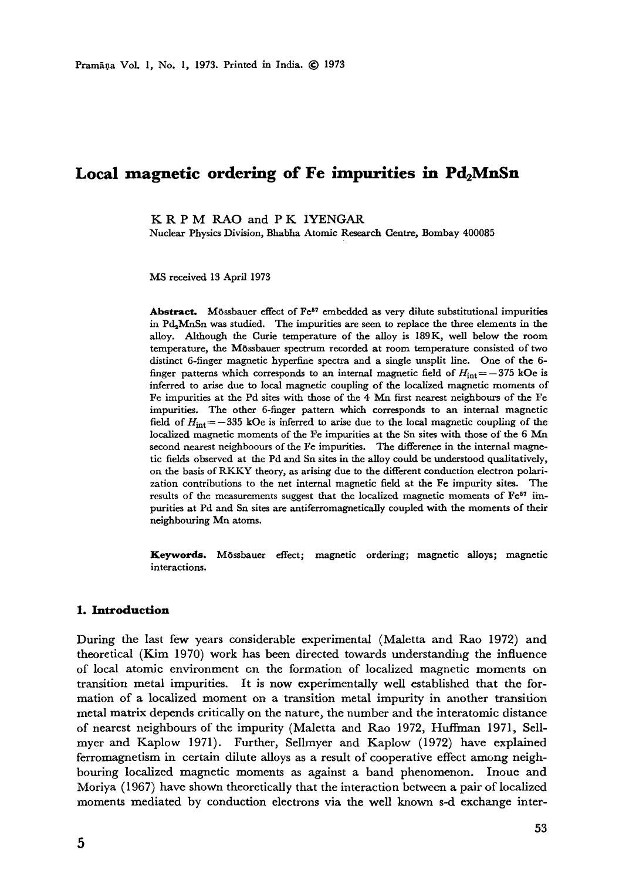# Local magnetic ordering of Fe impurities in Pd<sub>2</sub>MnSn

**K R P M** RAO and **P K** IYENGAR

Nuclear Physics Division, Bhabha Atomic Research Centre, Bombay 400085

MS received 13 April 1973

Abstract. Mössbauer effect of Fe<sup>57</sup> embedded as very dilute substitutional impurities in  $Pd_2MnSn$  was studied. The impurities are seen to replace the three elements in the alloy. Although the Curie temperature of the alloy is 189K, well below the **room**  temperature, the Mössbauer spectrum recorded at room temperature consisted of two distinct 6-finger magnetic hyperfme spectra and a single unsplit line. One of the 6 finger patterns which corresponds to an internal magnetic field of  $H_{\text{int}} = -375$  kOe is inferred to arise due to local magnetic coupling of the localized magnetic moments of Fe impurities at the Pd sites with those of the 4 Mn first nearest neighbours of the Fe impurities. The other 6-finger pattern which corresponds to an internal magnetic field of  $H_{\text{int}} = -335$  kOe is inferred to arise due to the local magnetic coupling of the localized magnetic moments of the Fe impurities at the Sn sites with those of the 6 Mn second nearest neighboours of the Fe impurities. The difference in the internal magnetic fields observed at the Pd and Sn sites in the alloy could be understood qualitatively, on the basis of RKKY theory, as arising due to the different conduction electron polarization contributions to the net internal magnetic field at the Fe impurity sites. The results of the measurements suggest that the localized magnetic moments of Fe<sup>57</sup> impurities at Pd and Sn sites are antiferromagnetically coupled with the moments of their neighbouring Mn atoms.

**Keywords.** MOssbauer effect; magnetic ordering; magnetic alloys; magnetic interactions.

#### **1. Introduction**

During the last few years considerable experimental (Maletta and Rao 1972) and theoretical (Kim 1970) work has been directed towards understanding the influence of local atomic environment on the formation of localized magnetic moments on transition metal impurities. It is now experimentally well established that the formation of a localized moment on a transition metal impurity in another transition metal matrix depends critically on the nature, the number and the interatomic distance of nearest neighbours of the impurity (Maletta and Rao 1972, Huffman 1971, Sellmyer and Kaplow 1971). Further, Sellmyer and Kaplow (1972) have explained ferromagnetism in certain dilute alloys as a result of cooperative effect among neighbouring localized magnetic moments as against a band phenomenon. Inoue and Moriya (1967) have shown theoretically that the interaction between a pair of localized moments mediated by conduction electrons via the well known s-d exchange inter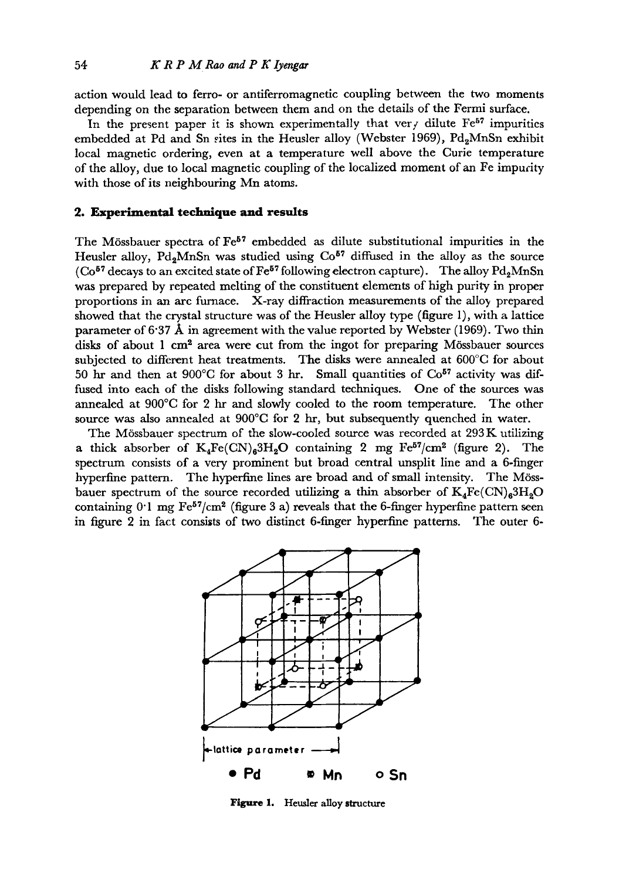action would lead to ferro- or antiferromagnetic coupling between the two moments depending on the separation between them and on the details of the Fermi surface.

In the present paper it is shown experimentally that ver  $\overline{f}$  dilute Fe<sup>57</sup> impurities embedded at Pd and Sn rites in the Heusler alloy (Webster 1969), Pd<sub>2</sub>MnSn exhibit local magnetic ordering, even at a temperature well above the Curie temperature of the alloy, due to local magnetic coupling of the localized moment of an Fe impurity with those of its neighbouring Mn atoms.

### **2. Experimental technique and results**

The Mössbauer spectra of  $\mathrm{Fe}^{57}$  embedded as dilute substitutional impurities in the Heusler alloy,  $Pd_2MnSn$  was studied using  $Co<sup>57</sup>$  diffused in the alloy as the source ( $Co<sup>57</sup>$  decays to an excited state of Fe<sup>57</sup> following electron capture). The alloy Pd<sub>2</sub>MnSn was prepared by repeated melting of the constituent elements of high purity in proper proportions in an arc furnace. X-ray diffraction measurements of the alloy prepared showed that the crystal structure was of the Heusler alloy type (figure 1), with a lattice parameter of 6.37  $\AA$  in agreement with the value reported by Webster (1969). Two thin disks of about  $1 \text{ cm}^2$  area were cut from the ingot for preparing Mössbauer sources subjected to different heat treatments. The disks were annealed at 600°C for about 50 hr and then at 900°C for about 3 hr. Small quantities of  $Co<sup>57</sup>$  activity was diffused into each of the disks following standard techniques. One of the sources was annealed at 900°C for 2 hr and slowly cooled to the room temperature. The other source was also annealed at 900°C for 2 hr, but subsequently quenched in water.

The Mössbauer spectrum of the slow-cooled source was recorded at 293K utilizing a thick absorber of  $K_4Fe(CN)_63H_2O$  containing 2 mg  $Fe^{57}/cm^2$  (figure 2). The spectrum consists of a very prominent but broad central unsplit line and a 6-finger hyperfine pattern. The hyperfme lines are broad and of small intensity. The M6ssbauer spectrum of the source recorded utilizing a thin absorber of  $K_4Fe(CN)_63H_8O$ containing  $0^{\text{-}1}$  mg Fe<sup>57</sup>/cm<sup>2</sup> (figure 3 a) reveals that the 6-finger hyperfine pattern seen in figure 2 in fact consists of two distinct 6-finger hyperfine patterns. The outer 6-



Figure 1. Heusler alloy structure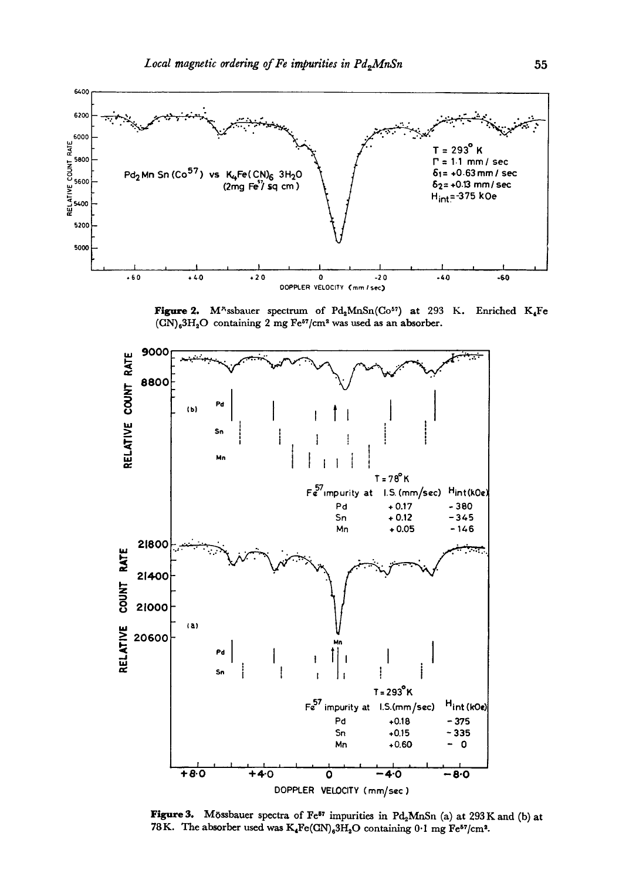

Figure 2. M<sup>x</sup>ssbauer spectrum of Pd<sub>2</sub>MnSn(Co<sup>57</sup>) at 293 K. Enriched K<sub>4</sub>Fe  $(CN)_{6}3H_{2}O$  containing 2 mg Fe<sup>57</sup>/cm<sup>2</sup> was used as an absorber.



Figure 3. Mössbauer spectra of Fe<sup>57</sup> impurities in Pd<sub>2</sub>MnSn (a) at 293 K and (b) at 78K. The absorber used was  $K_4Fe(GN)_63H_2O$  containing 0.1 mg Fe<sup>57</sup>/cm<sup>2</sup>.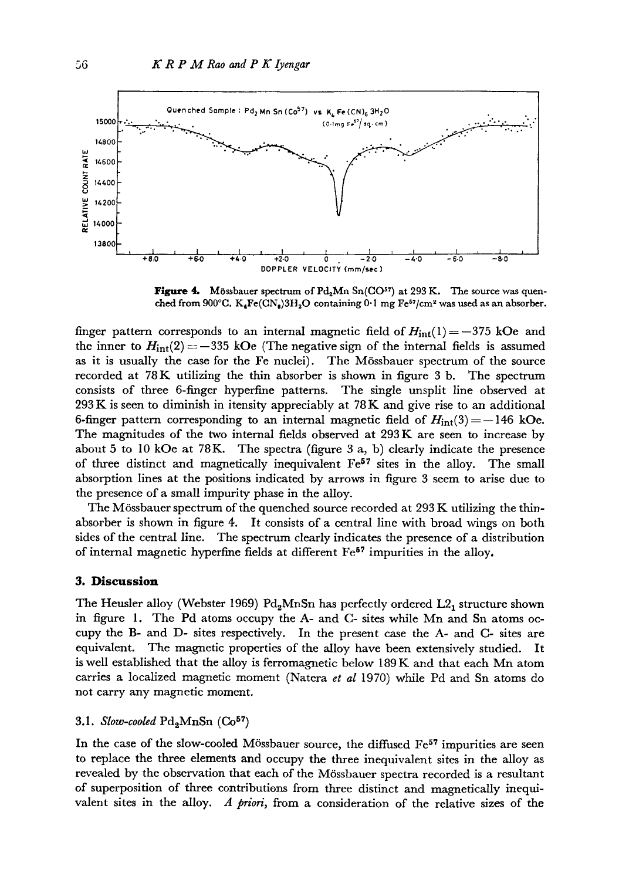

Figure 4. Mössbauer spectrum of Pd<sub>2</sub>Mn Sn(CO<sup>57</sup>) at 293 K. The source was quenched from 900°C.  $K_4Fe(CN_6)3H_2O$  containing 0.1 mg Fe<sup>57</sup>/cm<sup>2</sup> was used as an absorber.

finger pattern corresponds to an internal magnetic field of  $H_{int}(1)=-375$  kOe and the inner to  $H_{int}(2) = -335$  kOe (The negative sign of the internal fields is assumed as it is usually the case for the Fe nuclei). The M6ssbauer spectrum of the source recorded at 78K utilizing the thin absorber is shown in figure 3 b. The spectrum consists of three 6-finger hyperfine patterns. The single unsplit line observed at 293 K is seen to diminish in itensity appreciably at 78 K and give rise to an additional 6-finger pattern corresponding to an internal magnetic field of  $H_{int}(3) = -146$  kOe. The magnitudes of the two internal fields observed at 293 K are seen to increase by about 5 to 10 kOe at 78K. The spectra (figure 3 a, b) clearly indicate the presence of three distinct and magnetically inequivalent  $Fe<sup>57</sup>$  sites in the alloy. The small absorption lines at the positions indicated by arrows in figure 3 seem to arise due to the presence of a small impurity phase in the alloy.

The M6ssbauer spectrum of the quenched source recorded at 293 K utilizing the thinabsorber is shown in figure 4. It consists of a central line with broad wings on both sides of the central line. The spectrum clearly indicates the presence of a distribution of internal magnetic hyperfine fields at different  $Fe<sup>57</sup>$  impurities in the alloy.

#### **3. Discussion**

The Heusler alloy (Webster 1969) Pd<sub>2</sub>MnSn has perfectly ordered L2<sub>1</sub> structure shown in figure 1. The Pd atoms occupy the A- and C- sites while Mn and Sn atoms occupy the B- and D- sites respectively. In the present case the A- and C- sites are equivalent. The magnetic properties of the alloy have been extensively studied. It is well established that the alloy is ferromagnetic below  $189K$  and that each Mn atom carries a localized magnetic moment (Natera *et al* 1970) while Pd and Sn atoms do not carry any magnetic moment.

3.1. *Slow-cooled*  $Pd_2MnSn$  ( $Co<sup>57</sup>$ )

In the case of the slow-cooled Mössbauer source, the diffused Fe<sup>57</sup> impurities are seen to replace the three elements and occupy the three inequivalent sites in the alloy as revealed by the observation that each of the M6ssbauer spectra recorded is a resultant of superposition of three contributions from three distinct and magnetically inequivalent sites in the alloy. *A priori,* from a consideration of the relative sizes of the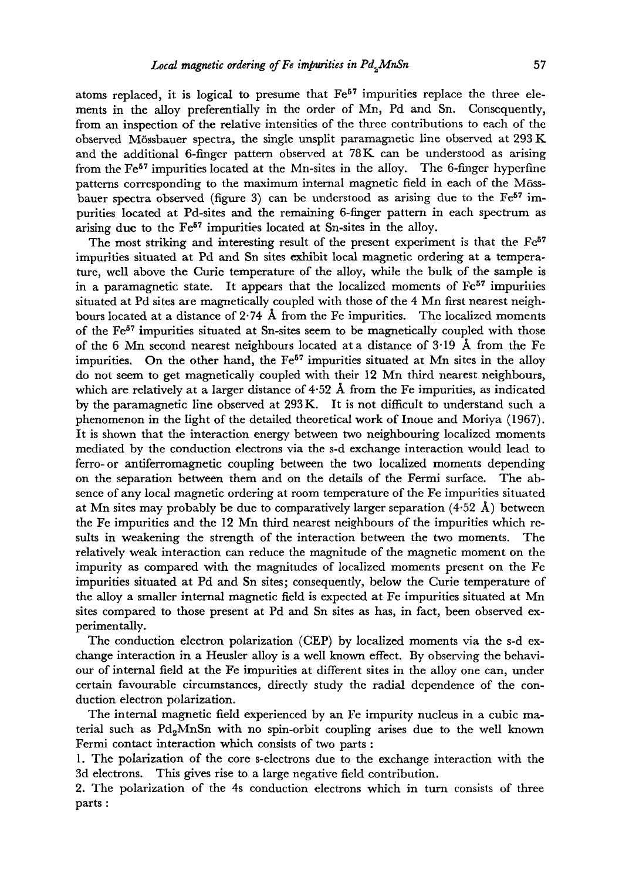atoms replaced, it is logical to presume that  $Fe<sup>57</sup>$  impurities replace the three elements in the alloy preferentially in the order of Mn, Pd and Sn. Consequently, from an inspection of the relative intensities of the three contributions to each of the observed M6ssbauer spectra, the single unsplit paramagaaetic line observed at 293 K and the additional 6-finger pattern observed at  $78K$  can be understood as arising from the Fe<sup>57</sup> impurities located at the Mn-sites in the alloy. The 6-finger hyperfine patterns corresponding to the maximum internal magnetic field in each of the Mössbauer spectra observed (figure 3) can be understood as arising due to the  $Fe<sup>57</sup>$  impurities located at Pd-sites and the remaining 6-finger pattern in each spectrum as arising due to the  $Fe<sup>57</sup>$  impurities located at Sn-sites in the alloy.

The most striking and interesting result of the present experiment is that the  $Fe<sup>57</sup>$ impurities situated at Pd and Sn sites exhibit local magnetic ordering at a temperature, well above the Curie temperature of the alloy, while the bulk of the sample is in a paramagnetic state. It appears that the localized moments of  $Fe<sup>57</sup>$  impurities situated at Pd sites are magnetically coupled with those of the 4 Mn first nearest neighbours located at a distance of 2.74 Å from the Fe impurities. The localized moments of the Fe<sup>57</sup> impurities situated at Sn-sites seem to be magnetically coupled with those of the 6 Mn second nearest neighbours located at a distance of 3.19 Å from the Fe impurities. On the other hand, the  $Fe<sup>57</sup>$  impurities situated at Mn sites in the alloy do not seem to get magnetically coupled with their 12 Mn third nearest neighbours, which are relatively at a larger distance of  $4.52 \text{ Å}$  from the Fe impurities, as indicated by the paramagnetic line observed at 293 K. It is not difficult to understand such a phenomenon in the light of the detailed theoretical work of Inoue and Moriya (1967). It is shown that the interaction energy between two neighbouring localized moments mediated by the conduction electrons via the s-d exchange interaction would lead to ferro-or antiferrornagnetic coupling between the two localized moments depending on the separation between them and on the details of the Fermi surface. The absence of any local magnetic ordering at room temperature of the Fe impurities situated at Mn sites may probably be due to comparatively larger separation  $(4.52 \text{ Å})$  between the Fe impurities and the 12 Mn third nearest neighbours of the impurities which resuits in weakening the strength of the interaction between the two moments. The relatively weak interaction can reduce the magnitude of the magnetic moment on the impurity as compared with the magnitudes of localized moments present on the Fe impurities situated at Pd and Sn sites; consequently, below the Curie temperature of the alloy a smaller internal magnetic field is expected at Fe impurities situated at Mn sites compared to those present at Pd and Sn sites as has, in fact, been observed experimentally.

The conduction electron polarization (CEP) by localized moments via the s-d exchange interaction in a Heusler alloy is a well known effect. By observing the behaviour of internal field at the Fe impurities at different sites in the alloy one can, under certain favourable circumstances, directly study the radial dependence of the conduction electron polarization.

The internal magnetic field experienced by an Fe impurity nucleus in a cubic material such as PdgMnSn with no spin-orbit coupling arises due to the well known Fermi contact interaction which consists of two parts :

1. The polarization of the core s-electrons due to the exchange interaction with the 3d electrons. This gives rise to a large negative field contribution.

2. The polarization of the 4s conduction electrons which in turn consists of three parts :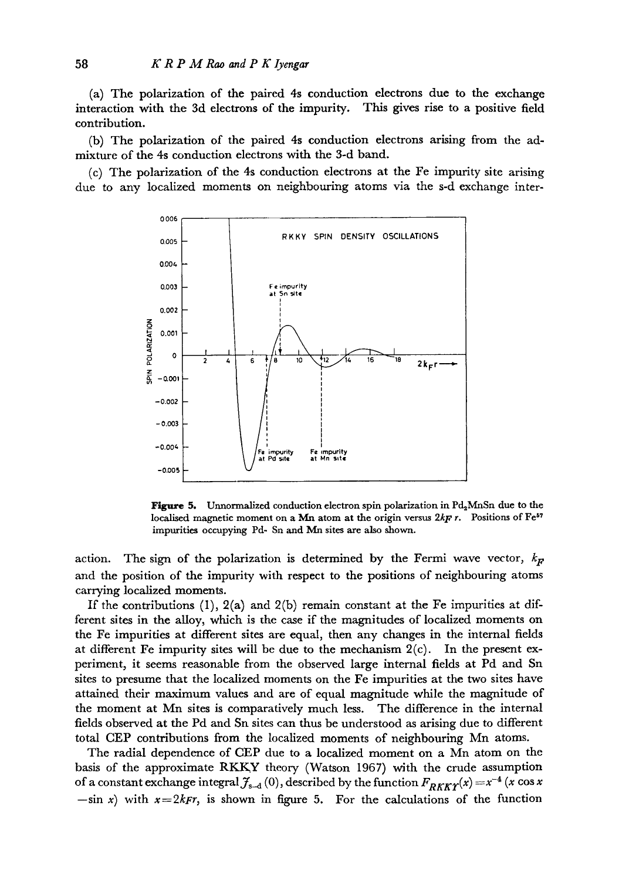(a) The polarization of the paired 4s conduction electrons due to the exchange interaction with the 3d electrons of the impurity. This gives rise to a positive field contribution.

(b) The polarization of the paired 4s conduction electrons arising from the admixture of the 4s conduction electrons with the 3-d band.

(c) The polarization of the 4s conduction electrons at the Fe impurity site arising due to any localized moments on neighbouring atoms via the s-d exchange inter-



**Figure 5.** Unnormalized conduction electron spin polarization in  $Pd_2MnSn$  due to the localised magnetic moment on a Mn atom at the origin versus 2kF r. Positions of Fe<sup>57</sup> impurities occupying Pd- Sn and Mn sites are also shown.

action. The sign of the polarization is determined by the Fermi wave vector,  $k_F$ and the position of the impurity with respect to the positions of neighbouring atoms carrying localized moments.

If the contributions  $(1)$ ,  $2(a)$  and  $2(b)$  remain constant at the Fe impurities at different sites in the alloy, which is the case if the magnitudes of localized moments on the Fe impurities at different sites are equal, then any changes in the internal fields at different Fe impurity sites will be due to the mechanism  $2(c)$ . In the present experiment, it seems reasonable from the observed large internal fields at Pd and Sn sites to presume that the localized moments on the Fe impurities at the two sites *have*  attained their maximum values and are of equal magnitude while the magnitude of the moment at Mn sites is comparatively much less. The difference in the internal fields observed at the Pd and Sn sites can thus be understood as arising due to different total CEP contributions from the localized moments of neighbouring Mn atoms.

The radial dependence of CEP due to a localized moment on a Mn atom on the basis of the approximate RKKY theory (Watson 1967) with the crude assumption of a constant exchange integral  $f_{s-d} (0)$ , described by the function  $F_{RKKY}(x) = x^{-4} (x \cos x)$  $-\sin x$ ) with  $x=2k$ *Fr*, is shown in figure 5. For the calculations of the function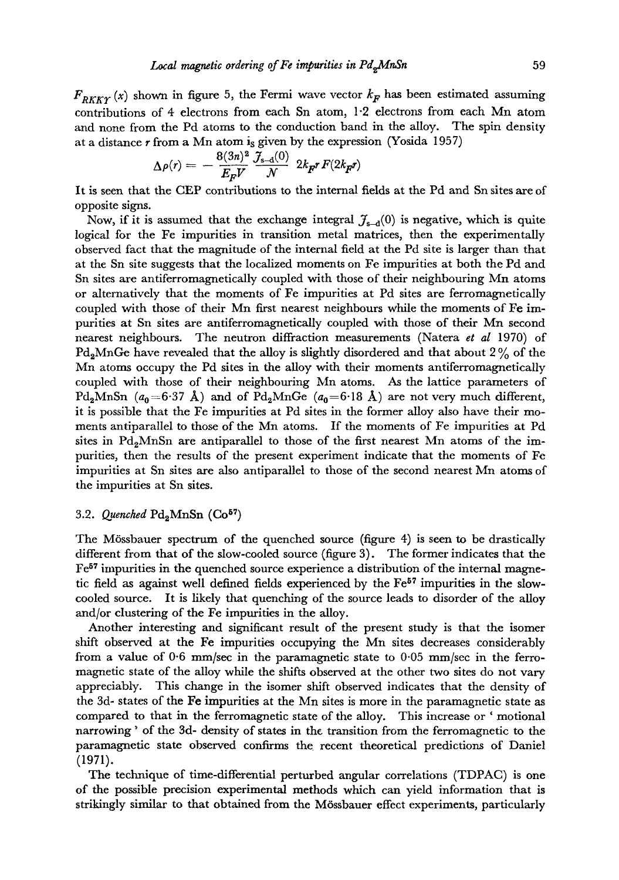$F_{RKKT}(x)$  shown in figure 5, the Fermi wave vector  $k_F$  has been estimated assuming contributions of 4 electrons from each Sn atom, 1.2 electrons from each Mn atom and none from the Pd atoms to the conduction band in the alloy. The spin density at a distance  $r$  from a Mn atom is given by the expression (Yosida 1957)

$$
\Delta \rho(r) = -\frac{8(3n)^2}{E_F V} \frac{\mathcal{J}_{s-d}(0)}{\mathcal{N}} \ 2k_F r F(2k_F r)
$$

It is seen that the CEP contributions to the internal fields at the Pd and Sn sites are of opposite signs.

Now, if it is assumed that the exchange integral  $\mathcal{J}_{s-d}(0)$  is negative, which is quite logical for the Fe impurities in transition metal matrices, then the experimentally observed fact that the magnitude of the internal field at the Pd site is larger than that at the Sn site suggests that the localized moments on Fe impurities at both the Pd and Sn sites are antiferromagnetically coupled with those of their neighbouring Mn atoms or alternatively that the moments of Fe impurities at Pd sites are ferromagnetically coupled with those of their Mn first nearest neighbours while the moments of Fe impurities at Sn sites are antiferromagnetically coupled with those of their Mn second nearest neighbours. The neutron diffraction measurements (Natera *et al* 1970) of  $Pd_{2}MnGe$  have revealed that the alloy is slightly disordered and that about 2% of the Mn atoms occupy the Pd sites in the alloy with their moments antiferromagnetically coupled with those of their neighbouring Mn atoms. As the lattice parameters of Pd<sub>2</sub>MnSn ( $a_0$ =6.37 Å) and of Pd<sub>2</sub>MnGe ( $a_0$ =6.18 Å) are not very much different, it is possible that the Fe impurities at Pd sites in the former alloy also have their moments antiparallel to those of the Mn atoms. If the moments of Fe impurities at Pd sites in  $Pd_{2}MnSn$  are antiparallel to those of the first nearest Mn atoms of the impurities, then the results of the present experiment indicate that the moments of Fe impurities at Sn sites are also antiparallel to those of the second nearest Mn atoms of the impurities at Sn sites.

# 3.2. *Quenched* Pd<sub>2</sub>MnSn (Co<sup>57</sup>)

The M6ssbauer spectrum of the quenched source (figure 4) is seen to be drastically different from that of the slow-cooled source (figure 3). The former indicates that the  $Fe<sup>57</sup>$  impurities in the quenched source experience a distribution of the internal magnetic field as against well defined fields experienced by the  $Fe<sup>57</sup>$  impurities in the slowcooled source. It is likely that quenching of the source leads to disorder of the alloy and/or clustering of the Fe impurities in the alloy.

Another interesting and significant result of the present study is that the isomer shift observed at the Fe impurities occupying the Mn sites decreases considerably from a value of  $0.6$  mm/sec in the paramagnetic state to  $0.05$  mm/sec in the ferromagnetic state of the alloy while the shifts observed at the other two sites do not vary appreciably. This change in the isomer shift observed indicates that the density of the 3d- states of the Fe impurities at the Mn sites is more in the paramagnetic state as compared to that in the ferromagnetic state of the alloy. This increase or ' motional narrowing ' of the 3d- density of states in the transition from the ferromagnetic to the paramagnetic state observed confirms the recent theoretical predictions of Daniel (1971).

The technique of time-differential perturbed angular correlations (TDPAC) is one of the possible precision experimental methods which can yield information that is strikingly similar to that obtained from the M6ssbauer effect experiments, particularly